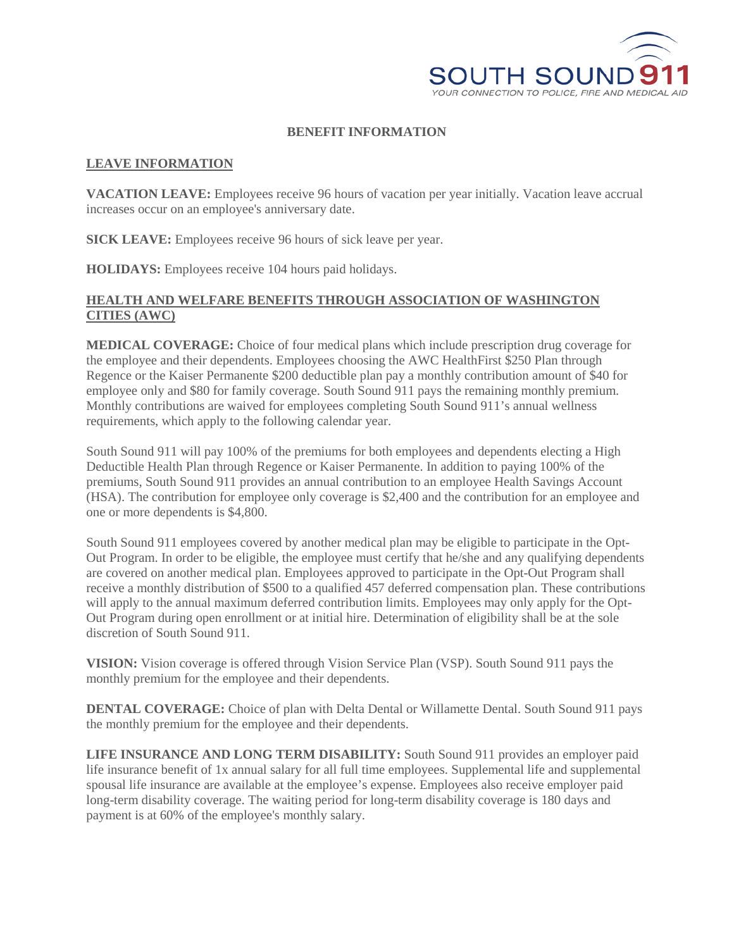

## **BENEFIT INFORMATION**

## **LEAVE INFORMATION**

**VACATION LEAVE:** Employees receive 96 hours of vacation per year initially. Vacation leave accrual increases occur on an employee's anniversary date.

**SICK LEAVE:** Employees receive 96 hours of sick leave per year.

**HOLIDAYS:** Employees receive 104 hours paid holidays.

## **HEALTH AND WELFARE BENEFITS THROUGH ASSOCIATION OF WASHINGTON CITIES (AWC)**

**MEDICAL COVERAGE:** Choice of four medical plans which include prescription drug coverage for the employee and their dependents. Employees choosing the AWC HealthFirst \$250 Plan through Regence or the Kaiser Permanente \$200 deductible plan pay a monthly contribution amount of \$40 for employee only and \$80 for family coverage. South Sound 911 pays the remaining monthly premium. Monthly contributions are waived for employees completing South Sound 911's annual wellness requirements, which apply to the following calendar year.

South Sound 911 will pay 100% of the premiums for both employees and dependents electing a High Deductible Health Plan through Regence or Kaiser Permanente. In addition to paying 100% of the premiums, South Sound 911 provides an annual contribution to an employee Health Savings Account (HSA). The contribution for employee only coverage is \$2,400 and the contribution for an employee and one or more dependents is \$4,800.

South Sound 911 employees covered by another medical plan may be eligible to participate in the Opt-Out Program. In order to be eligible, the employee must certify that he/she and any qualifying dependents are covered on another medical plan. Employees approved to participate in the Opt-Out Program shall receive a monthly distribution of \$500 to a qualified 457 deferred compensation plan. These contributions will apply to the annual maximum deferred contribution limits. Employees may only apply for the Opt-Out Program during open enrollment or at initial hire. Determination of eligibility shall be at the sole discretion of South Sound 911.

**VISION:** Vision coverage is offered through Vision Service Plan (VSP). South Sound 911 pays the monthly premium for the employee and their dependents.

**DENTAL COVERAGE:** Choice of plan with Delta Dental or Willamette Dental. South Sound 911 pays the monthly premium for the employee and their dependents.

**LIFE INSURANCE AND LONG TERM DISABILITY:** South Sound 911 provides an employer paid life insurance benefit of 1x annual salary for all full time employees. Supplemental life and supplemental spousal life insurance are available at the employee's expense. Employees also receive employer paid long-term disability coverage. The waiting period for long-term disability coverage is 180 days and payment is at 60% of the employee's monthly salary.